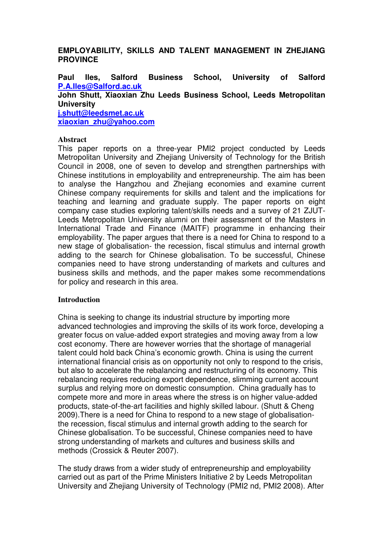#### **EMPLOYABILITY, SKILLS AND TALENT MANAGEMENT IN ZHEJIANG PROVINCE**

**Paul Iles, Salford Business School, University of Salford P.A.Iles@Salford.ac.uk**

**John Shutt, Xiaoxian Zhu Leeds Business School, Leeds Metropolitan University** 

**j.shutt@leedsmet.ac.uk xiaoxian\_zhu@yahoo.com**

#### **Abstract**

This paper reports on a three-year PMI2 project conducted by Leeds Metropolitan University and Zhejiang University of Technology for the British Council in 2008, one of seven to develop and strengthen partnerships with Chinese institutions in employability and entrepreneurship. The aim has been to analyse the Hangzhou and Zhejiang economies and examine current Chinese company requirements for skills and talent and the implications for teaching and learning and graduate supply. The paper reports on eight company case studies exploring talent/skills needs and a survey of 21 ZJUT-Leeds Metropolitan University alumni on their assessment of the Masters in International Trade and Finance (MAITF) programme in enhancing their employability. The paper argues that there is a need for China to respond to a new stage of globalisation- the recession, fiscal stimulus and internal growth adding to the search for Chinese globalisation. To be successful, Chinese companies need to have strong understanding of markets and cultures and business skills and methods, and the paper makes some recommendations for policy and research in this area.

#### **Introduction**

China is seeking to change its industrial structure by importing more advanced technologies and improving the skills of its work force, developing a greater focus on value-added export strategies and moving away from a low cost economy. There are however worries that the shortage of managerial talent could hold back China's economic growth. China is using the current international financial crisis as on opportunity not only to respond to the crisis, but also to accelerate the rebalancing and restructuring of its economy. This rebalancing requires reducing export dependence, slimming current account surplus and relying more on domestic consumption. China gradually has to compete more and more in areas where the stress is on higher value-added products, state-of-the-art facilities and highly skilled labour. (Shutt & Cheng 2009).There is a need for China to respond to a new stage of globalisationthe recession, fiscal stimulus and internal growth adding to the search for Chinese globalisation. To be successful, Chinese companies need to have strong understanding of markets and cultures and business skills and methods (Crossick & Reuter 2007).

The study draws from a wider study of entrepreneurship and employability carried out as part of the Prime Ministers Initiative 2 by Leeds Metropolitan University and Zhejiang University of Technology (PMI2 nd, PMI2 2008). After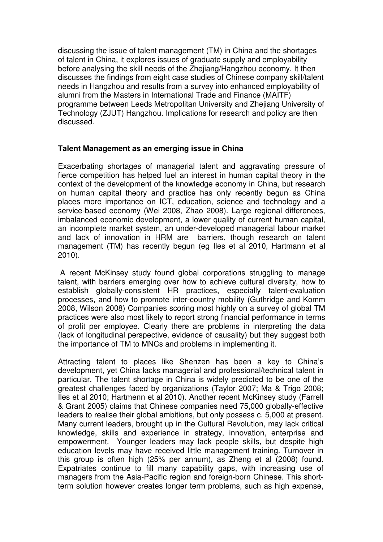discussing the issue of talent management (TM) in China and the shortages of talent in China, it explores issues of graduate supply and employability before analysing the skill needs of the Zhejiang/Hangzhou economy. It then discusses the findings from eight case studies of Chinese company skill/talent needs in Hangzhou and results from a survey into enhanced employability of alumni from the Masters in International Trade and Finance (MAITF) programme between Leeds Metropolitan University and Zhejiang University of Technology (ZJUT) Hangzhou. Implications for research and policy are then discussed.

## **Talent Management as an emerging issue in China**

Exacerbating shortages of managerial talent and aggravating pressure of fierce competition has helped fuel an interest in human capital theory in the context of the development of the knowledge economy in China, but research on human capital theory and practice has only recently begun as China places more importance on ICT, education, science and technology and a service-based economy (Wei 2008, Zhao 2008). Large regional differences, imbalanced economic development, a lower quality of current human capital, an incomplete market system, an under-developed managerial labour market and lack of innovation in HRM are barriers, though research on talent management (TM) has recently begun (eg Iles et al 2010, Hartmann et al 2010).

 A recent McKinsey study found global corporations struggling to manage talent, with barriers emerging over how to achieve cultural diversity, how to establish globally-consistent HR practices, especially talent-evaluation processes, and how to promote inter-country mobility (Guthridge and Komm 2008, Wilson 2008) Companies scoring most highly on a survey of global TM practices were also most likely to report strong financial performance in terms of profit per employee. Clearly there are problems in interpreting the data (lack of longitudinal perspective, evidence of causality) but they suggest both the importance of TM to MNCs and problems in implementing it.

Attracting talent to places like Shenzen has been a key to China's development, yet China lacks managerial and professional/technical talent in particular. The talent shortage in China is widely predicted to be one of the greatest challenges faced by organizations (Taylor 2007; Ma & Trigo 2008; Iles et al 2010; Hartmenn et al 2010). Another recent McKinsey study (Farrell & Grant 2005) claims that Chinese companies need 75,000 globally-effective leaders to realise their global ambitions, but only possess c. 5,000 at present. Many current leaders, brought up in the Cultural Revolution, may lack critical knowledge, skills and experience in strategy, innovation, enterprise and empowerment. Younger leaders may lack people skills, but despite high education levels may have received little management training. Turnover in this group is often high (25% per annum), as Zheng et al (2008) found. Expatriates continue to fill many capability gaps, with increasing use of managers from the Asia-Pacific region and foreign-born Chinese. This shortterm solution however creates longer term problems, such as high expense,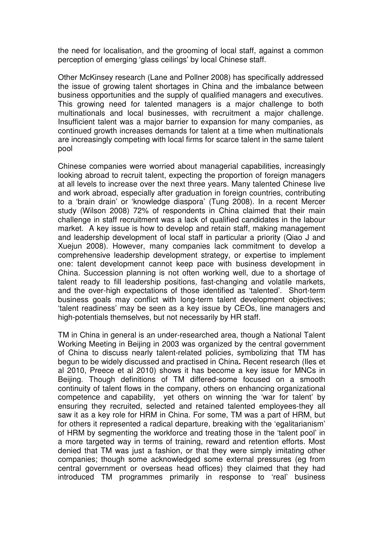the need for localisation, and the grooming of local staff, against a common perception of emerging 'glass ceilings' by local Chinese staff.

Other McKinsey research (Lane and Pollner 2008) has specifically addressed the issue of growing talent shortages in China and the imbalance between business opportunities and the supply of qualified managers and executives. This growing need for talented managers is a major challenge to both multinationals and local businesses, with recruitment a major challenge. Insufficient talent was a major barrier to expansion for many companies, as continued growth increases demands for talent at a time when multinationals are increasingly competing with local firms for scarce talent in the same talent pool

Chinese companies were worried about managerial capabilities, increasingly looking abroad to recruit talent, expecting the proportion of foreign managers at all levels to increase over the next three years. Many talented Chinese live and work abroad, especially after graduation in foreign countries, contributing to a 'brain drain' or 'knowledge diaspora' (Tung 2008). In a recent Mercer study (Wilson 2008) 72% of respondents in China claimed that their main challenge in staff recruitment was a lack of qualified candidates in the labour market. A key issue is how to develop and retain staff, making management and leadership development of local staff in particular a priority (Qiao J and Xuejun 2008). However, many companies lack commitment to develop a comprehensive leadership development strategy, or expertise to implement one: talent development cannot keep pace with business development in China. Succession planning is not often working well, due to a shortage of talent ready to fill leadership positions, fast-changing and volatile markets, and the over-high expectations of those identified as 'talented'. Short-term business goals may conflict with long-term talent development objectives; 'talent readiness' may be seen as a key issue by CEOs, line managers and high-potentials themselves, but not necessarily by HR staff.

TM in China in general is an under-researched area, though a National Talent Working Meeting in Beijing in 2003 was organized by the central government of China to discuss nearly talent-related policies, symbolizing that TM has begun to be widely discussed and practised in China**.** Recent research (Iles et al 2010, Preece et al 2010) shows it has become a key issue for MNCs in Beijing. Though definitions of TM differed-some focused on a smooth continuity of talent flows in the company, others on enhancing organizational competence and capability, yet others on winning the 'war for talent' by ensuring they recruited, selected and retained talented employees-they all saw it as a key role for HRM in China. For some, TM was a part of HRM, but for others it represented a radical departure, breaking with the 'egalitarianism' of HRM by segmenting the workforce and treating those in the 'talent pool' in a more targeted way in terms of training, reward and retention efforts. Most denied that TM was just a fashion, or that they were simply imitating other companies; though some acknowledged some external pressures (eg from central government or overseas head offices) they claimed that they had introduced TM programmes primarily in response to 'real' business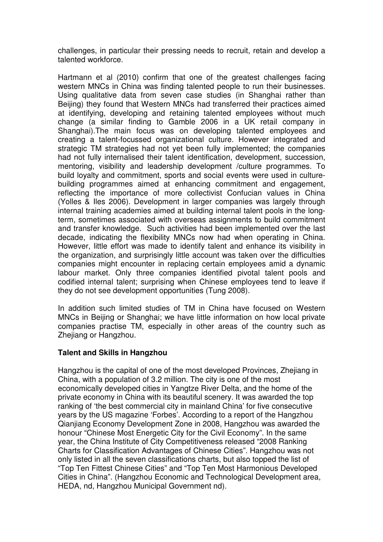challenges, in particular their pressing needs to recruit, retain and develop a talented workforce.

Hartmann et al (2010) confirm that one of the greatest challenges facing western MNCs in China was finding talented people to run their businesses. Using qualitative data from seven case studies (in Shanghai rather than Beijing) they found that Western MNCs had transferred their practices aimed at identifying, developing and retaining talented employees without much change (a similar finding to Gamble 2006 in a UK retail company in Shanghai).The main focus was on developing talented employees and creating a talent-focussed organizational culture. However integrated and strategic TM strategies had not yet been fully implemented; the companies had not fully internalised their talent identification, development, succession, mentoring, visibility and leadership development /culture programmes. To build loyalty and commitment, sports and social events were used in culturebuilding programmes aimed at enhancing commitment and engagement, reflecting the importance of more collectivist Confucian values in China (Yolles & Iles 2006). Development in larger companies was largely through internal training academies aimed at building internal talent pools in the longterm, sometimes associated with overseas assignments to build commitment and transfer knowledge. Such activities had been implemented over the last decade, indicating the flexibility MNCs now had when operating in China. However, little effort was made to identify talent and enhance its visibility in the organization, and surprisingly little account was taken over the difficulties companies might encounter in replacing certain employees amid a dynamic labour market. Only three companies identified pivotal talent pools and codified internal talent; surprising when Chinese employees tend to leave if they do not see development opportunities (Tung 2008).

In addition such limited studies of TM in China have focused on Western MNCs in Beijing or Shanghai; we have little information on how local private companies practise TM, especially in other areas of the country such as Zhejiang or Hangzhou.

#### **Talent and Skills in Hangzhou**

Hangzhou is the capital of one of the most developed Provinces, Zhejiang in China, with a population of 3.2 million. The city is one of the most economically developed cities in Yangtze River Delta, and the home of the private economy in China with its beautiful scenery. It was awarded the top ranking of 'the best commercial city in mainland China' for five consecutive years by the US magazine 'Forbes'. According to a report of the Hangzhou Qianjiang Economy Development Zone in 2008, Hangzhou was awarded the honour "Chinese Most Energetic City for the Civil Economy". In the same year, the China Institute of City Competitiveness released "2008 Ranking Charts for Classification Advantages of Chinese Cities". Hangzhou was not only listed in all the seven classifications charts, but also topped the list of "Top Ten Fittest Chinese Cities" and "Top Ten Most Harmonious Developed Cities in China". (Hangzhou Economic and Technological Development area, HEDA, nd, Hangzhou Municipal Government nd).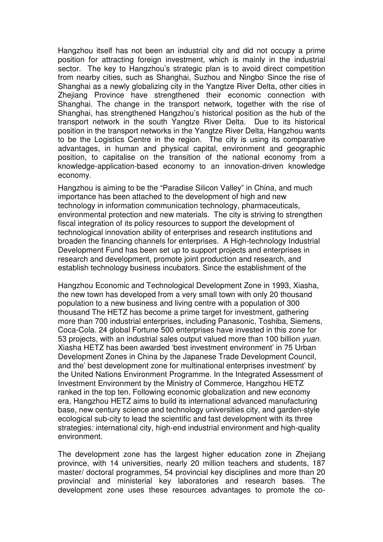Hangzhou itself has not been an industrial city and did not occupy a prime position for attracting foreign investment, which is mainly in the industrial sector. The key to Hangzhou's strategic plan is to avoid direct competition from nearby cities, such as Shanghai, Suzhou and Ningbo. Since the rise of Shanghai as a newly globalizing city in the Yangtze River Delta, other cities in Zheijang Province have strengthened their economic connection with Shanghai. The change in the transport network, together with the rise of Shanghai, has strengthened Hangzhou's historical position as the hub of the transport network in the south Yangtze River Delta. Due to its historical position in the transport networks in the Yangtze River Delta, Hangzhou wants to be the Logistics Centre in the region. The city is using its comparative advantages, in human and physical capital, environment and geographic position, to capitalise on the transition of the national economy from a knowledge-application-based economy to an innovation-driven knowledge economy.

Hangzhou is aiming to be the "Paradise Silicon Valley" in China, and much importance has been attached to the development of high and new technology in information communication technology, pharmaceuticals, environmental protection and new materials. The city is striving to strengthen fiscal integration of its policy resources to support the development of technological innovation ability of enterprises and research institutions and broaden the financing channels for enterprises. A High-technology Industrial Development Fund has been set up to support projects and enterprises in research and development, promote joint production and research, and establish technology business incubators. Since the establishment of the

Hangzhou Economic and Technological Development Zone in 1993, Xiasha, the new town has developed from a very small town with only 20 thousand population to a new business and living centre with a population of 300 thousand The HETZ has become a prime target for investment, gathering more than 700 industrial enterprises, including Panasonic, Toshiba, Siemens, Coca-Cola. 24 global Fortune 500 enterprises have invested in this zone for 53 projects, with an industrial sales output valued more than 100 billion yuan. Xiasha HETZ has been awarded 'best investment environment' in 75 Urban Development Zones in China by the Japanese Trade Development Council, and the' best development zone for multinational enterprises investment' by the United Nations Environment Programme. In the Integrated Assessment of Investment Environment by the Ministry of Commerce, Hangzhou HETZ ranked in the top ten. Following economic globalization and new economy era, Hangzhou HETZ aims to build its international advanced manufacturing base, new century science and technology universities city, and garden-style ecological sub-city to lead the scientific and fast development with its three strategies: international city, high-end industrial environment and high-quality environment.

The development zone has the largest higher education zone in Zhejiang province, with 14 universities, nearly 20 million teachers and students, 187 master/ doctoral programmes, 54 provincial key disciplines and more than 20 provincial and ministerial key laboratories and research bases. The development zone uses these resources advantages to promote the co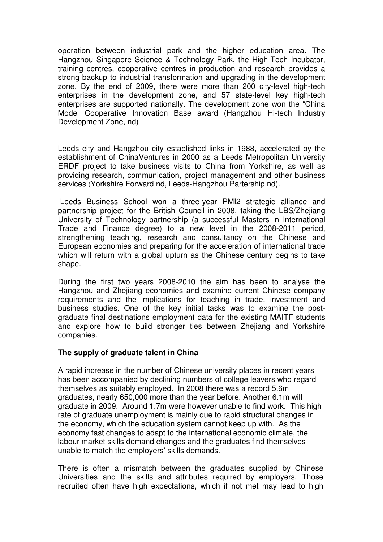operation between industrial park and the higher education area. The Hangzhou Singapore Science & Technology Park, the High-Tech Incubator, training centres, cooperative centres in production and research provides a strong backup to industrial transformation and upgrading in the development zone. By the end of 2009, there were more than 200 city-level high-tech enterprises in the development zone, and 57 state-level key high-tech enterprises are supported nationally. The development zone won the "China Model Cooperative Innovation Base award (Hangzhou Hi-tech Industry Development Zone, nd)

Leeds city and Hangzhou city established links in 1988, accelerated by the establishment of ChinaVentures in 2000 as a Leeds Metropolitan University ERDF project to take business visits to China from Yorkshire, as well as providing research, communication, project management and other business services (Yorkshire Forward nd, Leeds-Hangzhou Partership nd).

 Leeds Business School won a three-year PMI2 strategic alliance and partnership project for the British Council in 2008, taking the LBS/Zhejiang University of Technology partnership (a successful Masters in International Trade and Finance degree) to a new level in the 2008-2011 period, strengthening teaching, research and consultancy on the Chinese and European economies and preparing for the acceleration of international trade which will return with a global upturn as the Chinese century begins to take shape.

During the first two years 2008-2010 the aim has been to analyse the Hangzhou and Zhejiang economies and examine current Chinese company requirements and the implications for teaching in trade, investment and business studies. One of the key initial tasks was to examine the postgraduate final destinations employment data for the existing MAITF students and explore how to build stronger ties between Zhejiang and Yorkshire companies.

#### **The supply of graduate talent in China**

A rapid increase in the number of Chinese university places in recent years has been accompanied by declining numbers of college leavers who regard themselves as suitably employed. In 2008 there was a record 5.6m graduates, nearly 650,000 more than the year before. Another 6.1m will graduate in 2009. Around 1.7m were however unable to find work. This high rate of graduate unemployment is mainly due to rapid structural changes in the economy, which the education system cannot keep up with. As the economy fast changes to adapt to the international economic climate, the labour market skills demand changes and the graduates find themselves unable to match the employers' skills demands.

There is often a mismatch between the graduates supplied by Chinese Universities and the skills and attributes required by employers. Those recruited often have high expectations, which if not met may lead to high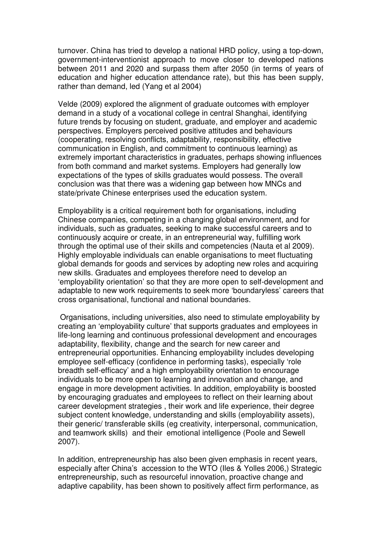turnover. China has tried to develop a national HRD policy, using a top-down, government-interventionist approach to move closer to developed nations between 2011 and 2020 and surpass them after 2050 (in terms of years of education and higher education attendance rate), but this has been supply, rather than demand, led (Yang et al 2004)

Velde (2009) explored the alignment of graduate outcomes with employer demand in a study of a vocational college in central Shanghai, identifying future trends by focusing on student, graduate, and employer and academic perspectives. Employers perceived positive attitudes and behaviours (cooperating, resolving conflicts, adaptability, responsibility, effective communication in English, and commitment to continuous learning) as extremely important characteristics in graduates, perhaps showing influences from both command and market systems. Employers had generally low expectations of the types of skills graduates would possess. The overall conclusion was that there was a widening gap between how MNCs and state/private Chinese enterprises used the education system.

Employability is a critical requirement both for organisations, including Chinese companies, competing in a changing global environment, and for individuals, such as graduates, seeking to make successful careers and to continuously acquire or create, in an entrepreneurial way, fulfilling work through the optimal use of their skills and competencies (Nauta et al 2009). Highly employable individuals can enable organisations to meet fluctuating global demands for goods and services by adopting new roles and acquiring new skills. Graduates and employees therefore need to develop an 'employability orientation' so that they are more open to self-development and adaptable to new work requirements to seek more 'boundaryless' careers that cross organisational, functional and national boundaries.

 Organisations, including universities, also need to stimulate employability by creating an 'employability culture' that supports graduates and employees in life-long learning and continuous professional development and encourages adaptability, flexibility, change and the search for new career and entrepreneurial opportunities. Enhancing employability includes developing employee self-efficacy (confidence in performing tasks), especially 'role breadth self-efficacy' and a high employability orientation to encourage individuals to be more open to learning and innovation and change, and engage in more development activities. In addition, employability is boosted by encouraging graduates and employees to reflect on their learning about career development strategies , their work and life experience, their degree subject content knowledge, understanding and skills (employability assets), their generic/ transferable skills (eg creativity, interpersonal, communication, and teamwork skills) and their emotional intelligence (Poole and Sewell 2007).

In addition, entrepreneurship has also been given emphasis in recent years, especially after China's accession to the WTO (Iles & Yolles 2006,) Strategic entrepreneurship, such as resourceful innovation, proactive change and adaptive capability, has been shown to positively affect firm performance, as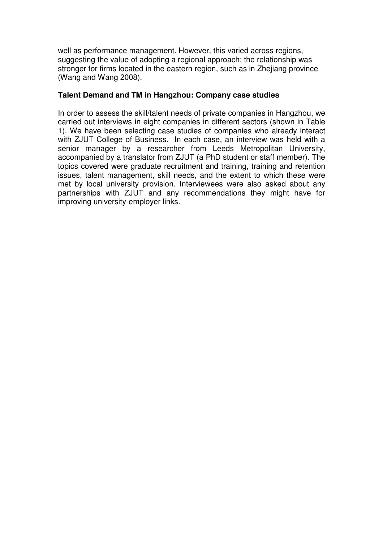well as performance management. However, this varied across regions, suggesting the value of adopting a regional approach; the relationship was stronger for firms located in the eastern region, such as in Zhejiang province (Wang and Wang 2008).

## **Talent Demand and TM in Hangzhou: Company case studies**

In order to assess the skill/talent needs of private companies in Hangzhou, we carried out interviews in eight companies in different sectors (shown in Table 1). We have been selecting case studies of companies who already interact with ZJUT College of Business. In each case, an interview was held with a senior manager by a researcher from Leeds Metropolitan University, accompanied by a translator from ZJUT (a PhD student or staff member). The topics covered were graduate recruitment and training, training and retention issues, talent management, skill needs, and the extent to which these were met by local university provision. Interviewees were also asked about any partnerships with ZJUT and any recommendations they might have for improving university-employer links.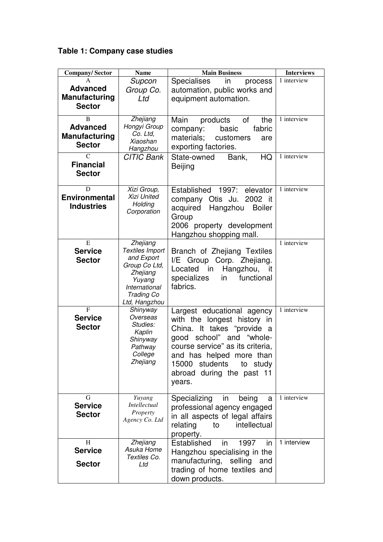# **Table 1: Company case studies**

| <b>Company/Sector</b> | <b>Name</b>              | <b>Main Business</b>                  | <b>Interviews</b> |
|-----------------------|--------------------------|---------------------------------------|-------------------|
|                       | Supcon                   | <b>Specialises</b><br>in<br>process   | 1 interview       |
| <b>Advanced</b>       | Group Co.                | automation, public works and          |                   |
| <b>Manufacturing</b>  | Ltd                      | equipment automation.                 |                   |
| <b>Sector</b>         |                          |                                       |                   |
| B<br><b>Advanced</b>  | Zhejiang<br>Hongyi Group | Main<br>οf<br>the<br>products         | 1 interview       |
| Manufacturing         | Co. Ltd,                 | fabric<br>basic<br>company:           |                   |
| <b>Sector</b>         | Xiaoshan                 | materials;<br>customers<br>are        |                   |
|                       | Hangzhou                 | exporting factories.                  |                   |
| C<br><b>Financial</b> | <b>CITIC Bank</b>        | HQ<br>State-owned<br>Bank,            | 1 interview       |
|                       |                          | <b>Beijing</b>                        |                   |
| <b>Sector</b>         |                          |                                       |                   |
| D                     | Xizi Group,              | 1997:<br>Established<br>elevator      | 1 interview       |
| <b>Environmental</b>  | Xizi United              | company Otis Ju.<br>2002 it           |                   |
| <b>Industries</b>     | Holding                  | acquired<br>Hangzhou<br><b>Boiler</b> |                   |
|                       | Corporation              | Group                                 |                   |
|                       |                          | 2006 property development             |                   |
|                       |                          | Hangzhou shopping mall.               |                   |
| E                     | Zhejiang                 |                                       | 1 interview       |
| <b>Service</b>        | <b>Textiles Import</b>   | Branch of Zhejiang Textiles           |                   |
| <b>Sector</b>         | and Export               | I/E Group Corp. Zhejiang.             |                   |
|                       | Group Co Ltd,            | Hangzhou, it<br>Located<br>in         |                   |
|                       | Zhejiang                 | specializes<br>functional<br>in       |                   |
|                       | Yuyang<br>International  | fabrics.                              |                   |
|                       | Trading Co               |                                       |                   |
|                       | Ltd, Hangzhou            |                                       |                   |
| $\overline{F}$        | Shinyway                 | Largest educational agency            | 1 interview       |
| <b>Service</b>        | Overseas                 | with the longest history in           |                   |
| <b>Sector</b>         | Studies:<br>Kaplin       | China. It takes "provide a            |                   |
|                       | Shinyway                 | school" and<br>"whole-<br>good        |                   |
|                       | Pathway                  | course service" as its criteria,      |                   |
|                       | College                  | and has helped more than              |                   |
|                       | Zhejiang                 | 15000 students<br>to study            |                   |
|                       |                          | abroad during the past 11             |                   |
|                       |                          | years.                                |                   |
|                       |                          |                                       |                   |
| G                     | Yuyang<br>Intellectual   | Specializing<br>in<br>being<br>a      | 1 interview       |
| <b>Service</b>        | Property                 | professional agency engaged           |                   |
| <b>Sector</b>         | Agency Co. Ltd           | in all aspects of legal affairs       |                   |
|                       |                          | intellectual<br>relating<br>to        |                   |
|                       |                          | property.                             |                   |
| H<br><b>Service</b>   | Zhejiang<br>Asuka Home   | Established<br>1997<br>in<br>in.      | 1 interview       |
|                       | Textiles Co.             | Hangzhou specialising in the          |                   |
| <b>Sector</b>         | Ltd                      | manufacturing, selling<br>and         |                   |
|                       |                          | trading of home textiles and          |                   |
|                       |                          | down products.                        |                   |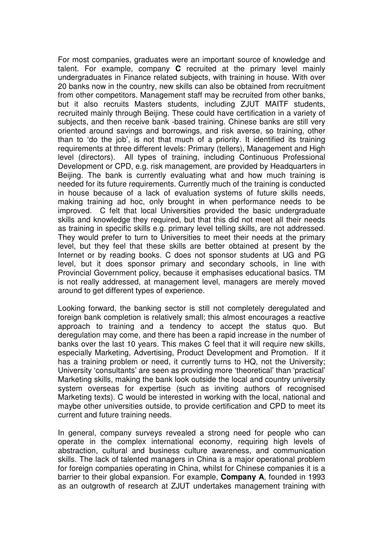For most companies, graduates were an important source of knowledge and talent. For example, company **C** recruited at the primary level mainly undergraduates in Finance related subjects, with training in house. With over 20 banks now in the country, new skills can also be obtained from recruitment from other competitors. Management staff may be recruited from other banks, but it also recruits Masters students, including ZJUT MAITF students, recruited mainly through Beijing. These could have certification in a variety of subjects, and then receive bank -based training. Chinese banks are still very oriented around savings and borrowings, and risk averse, so training, other than to 'do the job', is not that much of a priority. It identified its training requirements at three different levels: Primary (tellers), Management and High level (directors). All types of training, including Continuous Professional Development or CPD, e.g. risk management, are provided by Headquarters in Beijing. The bank is currently evaluating what and how much training is needed for its future requirements. Currently much of the training is conducted in house because of a lack of evaluation systems of future skills needs, making training ad hoc, only brought in when performance needs to be improved. C felt that local Universities provided the basic undergraduate skills and knowledge they required, but that this did not meet all their needs as training in specific skills e.g. primary level telling skills, are not addressed. They would prefer to turn to Universities to meet their needs at the primary level, but they feel that these skills are better obtained at present by the Internet or by reading books. C does not sponsor students at UG and PG level, but it does sponsor primary and secondary schools, in line with Provincial Government policy, because it emphasises educational basics. TM is not really addressed, at management level, managers are merely moved around to get different types of experience.

Looking forward, the banking sector is still not completely deregulated and foreign bank completion is relatively small; this almost encourages a reactive approach to training and a tendency to accept the status quo. But deregulation may come, and there has been a rapid increase in the number of banks over the last 10 years. This makes C feel that it will require new skills, especially Marketing, Advertising, Product Development and Promotion. If it has a training problem or need, it currently turns to HQ, not the University; University 'consultants' are seen as providing more 'theoretical' than 'practical' Marketing skills, making the bank look outside the local and country university system overseas for expertise (such as inviting authors of recognised Marketing texts). C would be interested in working with the local, national and maybe other universities outside, to provide certification and CPD to meet its current and future training needs.

In general, company surveys revealed a strong need for people who can operate in the complex international economy, requiring high levels of abstraction, cultural and business culture awareness, and communication skills. The lack of talented managers in China is a major operational problem for foreign companies operating in China, whilst for Chinese companies it is a barrier to their global expansion. For example, **Company A**, founded in 1993 as an outgrowth of research at ZJUT undertakes management training with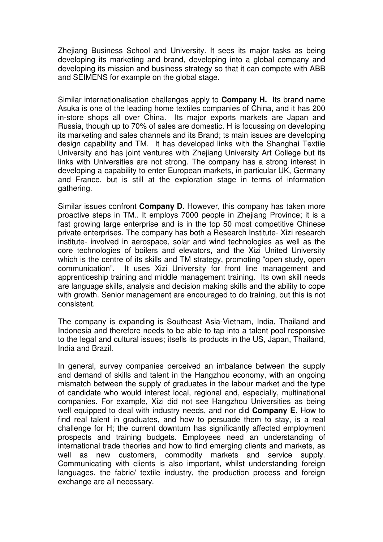Zhejiang Business School and University. It sees its major tasks as being developing its marketing and brand, developing into a global company and developing its mission and business strategy so that it can compete with ABB and SEIMENS for example on the global stage.

Similar internationalisation challenges apply to **Company H.** Its brand name Asuka is one of the leading home textiles companies of China, and it has 200 in-store shops all over China. Its major exports markets are Japan and Russia, though up to 70% of sales are domestic. H is focussing on developing its marketing and sales channels and its Brand; ts main issues are developing design capability and TM. It has developed links with the Shanghai Textile University and has joint ventures with Zhejiang University Art College but its links with Universities are not strong. The company has a strong interest in developing a capability to enter European markets, in particular UK, Germany and France, but is still at the exploration stage in terms of information gathering.

Similar issues confront **Company D.** However, this company has taken more proactive steps in TM.. It employs 7000 people in Zhejiang Province; it is a fast growing large enterprise and is in the top 50 most competitive Chinese private enterprises. The company has both a Research Institute- Xizi research institute- involved in aerospace, solar and wind technologies as well as the core technologies of boilers and elevators, and the Xizi United University which is the centre of its skills and TM strategy, promoting "open study, open communication". It uses Xizi University for front line management and apprenticeship training and middle management training. Its own skill needs are language skills, analysis and decision making skills and the ability to cope with growth. Senior management are encouraged to do training, but this is not consistent.

The company is expanding is Southeast Asia-Vietnam, India, Thailand and Indonesia and therefore needs to be able to tap into a talent pool responsive to the legal and cultural issues; itsells its products in the US, Japan, Thailand, India and Brazil.

In general, survey companies perceived an imbalance between the supply and demand of skills and talent in the Hangzhou economy, with an ongoing mismatch between the supply of graduates in the labour market and the type of candidate who would interest local, regional and, especially, multinational companies. For example, Xizi did not see Hangzhou Universities as being well equipped to deal with industry needs, and nor did **Company E**. How to find real talent in graduates, and how to persuade them to stay, is a real challenge for H; the current downturn has significantly affected employment prospects and training budgets. Employees need an understanding of international trade theories and how to find emerging clients and markets, as well as new customers, commodity markets and service supply. Communicating with clients is also important, whilst understanding foreign languages, the fabric/ textile industry, the production process and foreign exchange are all necessary.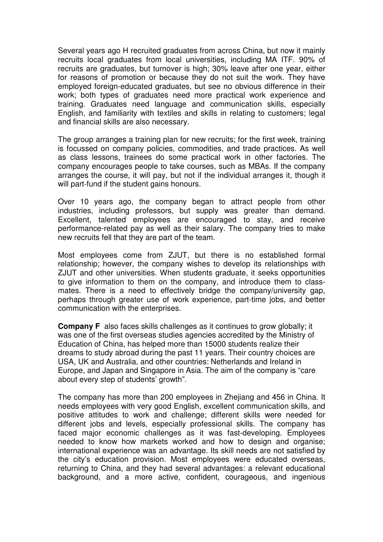Several years ago H recruited graduates from across China, but now it mainly recruits local graduates from local universities, including MA ITF. 90% of recruits are graduates, but turnover is high; 30% leave after one year, either for reasons of promotion or because they do not suit the work. They have employed foreign-educated graduates, but see no obvious difference in their work; both types of graduates need more practical work experience and training. Graduates need language and communication skills, especially English, and familiarity with textiles and skills in relating to customers; legal and financial skills are also necessary.

The group arranges a training plan for new recruits; for the first week, training is focussed on company policies, commodities, and trade practices. As well as class lessons, trainees do some practical work in other factories. The company encourages people to take courses, such as MBAs. If the company arranges the course, it will pay, but not if the individual arranges it, though it will part-fund if the student gains honours.

Over 10 years ago, the company began to attract people from other industries, including professors, but supply was greater than demand. Excellent, talented employees are encouraged to stay, and receive performance-related pay as well as their salary. The company tries to make new recruits fell that they are part of the team.

Most employees come from ZJUT, but there is no established formal relationship; however, the company wishes to develop its relationships with ZJUT and other universities. When students graduate, it seeks opportunities to give information to them on the company, and introduce them to classmates. There is a need to effectively bridge the company/university gap, perhaps through greater use of work experience, part-time jobs, and better communication with the enterprises.

**Company F** also faces skills challenges as it continues to grow globally; it was one of the first overseas studies agencies accredited by the Ministry of Education of China, has helped more than 15000 students realize their dreams to study abroad during the past 11 years. Their country choices are USA, UK and Australia, and other countries: Netherlands and Ireland in Europe, and Japan and Singapore in Asia. The aim of the company is "care about every step of students' growth".

The company has more than 200 employees in Zhejiang and 456 in China. It needs employees with very good English, excellent communication skills, and positive attitudes to work and challenge; different skills were needed for different jobs and levels, especially professional skills. The company has faced major economic challenges as it was fast-developing. Employees needed to know how markets worked and how to design and organise; international experience was an advantage. Its skill needs are not satisfied by the city's education provision. Most employees were educated overseas, returning to China, and they had several advantages: a relevant educational background, and a more active, confident, courageous, and ingenious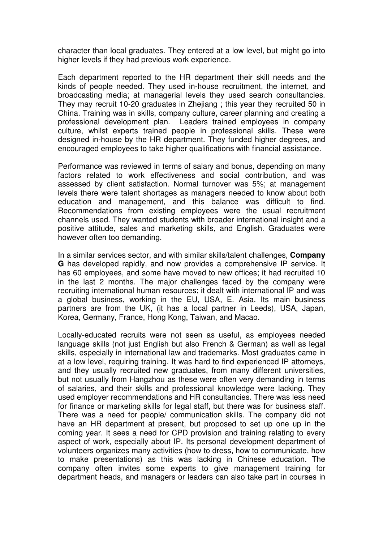character than local graduates. They entered at a low level, but might go into higher levels if they had previous work experience.

Each department reported to the HR department their skill needs and the kinds of people needed. They used in-house recruitment, the internet, and broadcasting media; at managerial levels they used search consultancies. They may recruit 10-20 graduates in Zhejiang ; this year they recruited 50 in China. Training was in skills, company culture, career planning and creating a professional development plan. Leaders trained employees in company culture, whilst experts trained people in professional skills. These were designed in-house by the HR department. They funded higher degrees, and encouraged employees to take higher qualifications with financial assistance.

Performance was reviewed in terms of salary and bonus, depending on many factors related to work effectiveness and social contribution, and was assessed by client satisfaction. Normal turnover was 5%; at management levels there were talent shortages as managers needed to know about both education and management, and this balance was difficult to find. Recommendations from existing employees were the usual recruitment channels used. They wanted students with broader international insight and a positive attitude, sales and marketing skills, and English. Graduates were however often too demanding.

In a similar services sector, and with similar skills/talent challenges, **Company G** has developed rapidly, and now provides a comprehensive IP service. It has 60 employees, and some have moved to new offices; it had recruited 10 in the last 2 months. The major challenges faced by the company were recruiting international human resources; it dealt with international IP and was a global business, working in the EU, USA, E. Asia. Its main business partners are from the UK, (it has a local partner in Leeds), USA, Japan, Korea, Germany, France, Hong Kong, Taiwan, and Macao.

Locally-educated recruits were not seen as useful, as employees needed language skills (not just English but also French & German) as well as legal skills, especially in international law and trademarks. Most graduates came in at a low level, requiring training. It was hard to find experienced IP attorneys, and they usually recruited new graduates, from many different universities, but not usually from Hangzhou as these were often very demanding in terms of salaries, and their skills and professional knowledge were lacking. They used employer recommendations and HR consultancies. There was less need for finance or marketing skills for legal staff, but there was for business staff. There was a need for people/ communication skills. The company did not have an HR department at present, but proposed to set up one up in the coming year. It sees a need for CPD provision and training relating to every aspect of work, especially about IP. Its personal development department of volunteers organizes many activities (how to dress, how to communicate, how to make presentations) as this was lacking in Chinese education. The company often invites some experts to give management training for department heads, and managers or leaders can also take part in courses in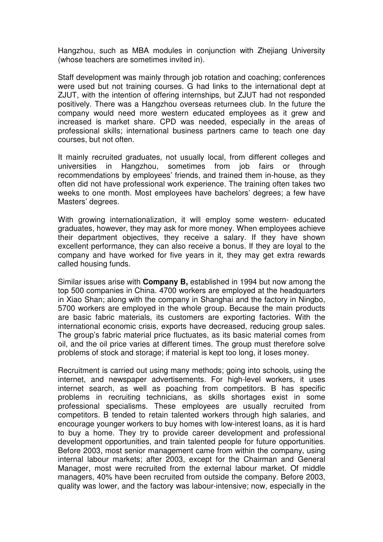Hangzhou, such as MBA modules in conjunction with Zhejiang University (whose teachers are sometimes invited in).

Staff development was mainly through job rotation and coaching; conferences were used but not training courses. G had links to the international dept at ZJUT, with the intention of offering internships, but ZJUT had not responded positively. There was a Hangzhou overseas returnees club. In the future the company would need more western educated employees as it grew and increased is market share. CPD was needed, especially in the areas of professional skills; international business partners came to teach one day courses, but not often.

It mainly recruited graduates, not usually local, from different colleges and universities in Hangzhou, sometimes from job fairs or through recommendations by employees' friends, and trained them in-house, as they often did not have professional work experience. The training often takes two weeks to one month. Most employees have bachelors' degrees; a few have Masters' degrees.

With growing internationalization, it will employ some western- educated graduates, however, they may ask for more money. When employees achieve their department objectives, they receive a salary. If they have shown excellent performance, they can also receive a bonus. If they are loyal to the company and have worked for five years in it, they may get extra rewards called housing funds.

Similar issues arise with **Company B,** established in 1994 but now among the top 500 companies in China. 4700 workers are employed at the headquarters in Xiao Shan; along with the company in Shanghai and the factory in Ningbo, 5700 workers are employed in the whole group. Because the main products are basic fabric materials, its customers are exporting factories. With the international economic crisis, exports have decreased, reducing group sales. The group's fabric material price fluctuates, as its basic material comes from oil, and the oil price varies at different times. The group must therefore solve problems of stock and storage; if material is kept too long, it loses money.

Recruitment is carried out using many methods; going into schools, using the internet, and newspaper advertisements. For high-level workers, it uses internet search, as well as poaching from competitors. B has specific problems in recruiting technicians, as skills shortages exist in some professional specialisms. These employees are usually recruited from competitors. B tended to retain talented workers through high salaries, and encourage younger workers to buy homes with low-interest loans, as it is hard to buy a home. They try to provide career development and professional development opportunities, and train talented people for future opportunities. Before 2003, most senior management came from within the company, using internal labour markets; after 2003, except for the Chairman and General Manager, most were recruited from the external labour market. Of middle managers, 40% have been recruited from outside the company. Before 2003, quality was lower, and the factory was labour-intensive; now, especially in the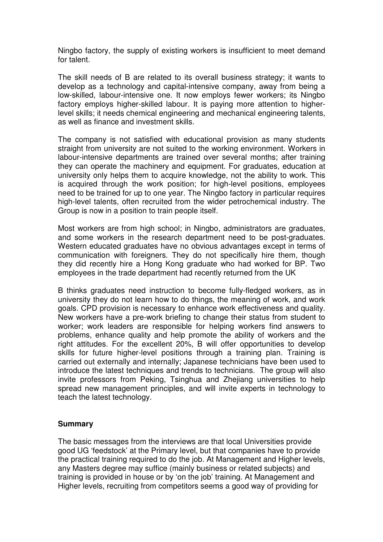Ningbo factory, the supply of existing workers is insufficient to meet demand for talent.

The skill needs of B are related to its overall business strategy; it wants to develop as a technology and capital-intensive company, away from being a low-skilled, labour-intensive one. It now employs fewer workers; its Ningbo factory employs higher-skilled labour. It is paying more attention to higherlevel skills; it needs chemical engineering and mechanical engineering talents, as well as finance and investment skills.

The company is not satisfied with educational provision as many students straight from university are not suited to the working environment. Workers in labour-intensive departments are trained over several months; after training they can operate the machinery and equipment. For graduates, education at university only helps them to acquire knowledge, not the ability to work. This is acquired through the work position; for high-level positions, employees need to be trained for up to one year. The Ningbo factory in particular requires high-level talents, often recruited from the wider petrochemical industry. The Group is now in a position to train people itself.

Most workers are from high school; in Ningbo, administrators are graduates, and some workers in the research department need to be post-graduates. Western educated graduates have no obvious advantages except in terms of communication with foreigners. They do not specifically hire them, though they did recently hire a Hong Kong graduate who had worked for BP. Two employees in the trade department had recently returned from the UK

B thinks graduates need instruction to become fully-fledged workers, as in university they do not learn how to do things, the meaning of work, and work goals. CPD provision is necessary to enhance work effectiveness and quality. New workers have a pre-work briefing to change their status from student to worker; work leaders are responsible for helping workers find answers to problems, enhance quality and help promote the ability of workers and the right attitudes. For the excellent 20%, B will offer opportunities to develop skills for future higher-level positions through a training plan. Training is carried out externally and internally; Japanese technicians have been used to introduce the latest techniques and trends to technicians. The group will also invite professors from Peking, Tsinghua and Zhejiang universities to help spread new management principles, and will invite experts in technology to teach the latest technology.

#### **Summary**

The basic messages from the interviews are that local Universities provide good UG 'feedstock' at the Primary level, but that companies have to provide the practical training required to do the job. At Management and Higher levels, any Masters degree may suffice (mainly business or related subjects) and training is provided in house or by 'on the job' training. At Management and Higher levels, recruiting from competitors seems a good way of providing for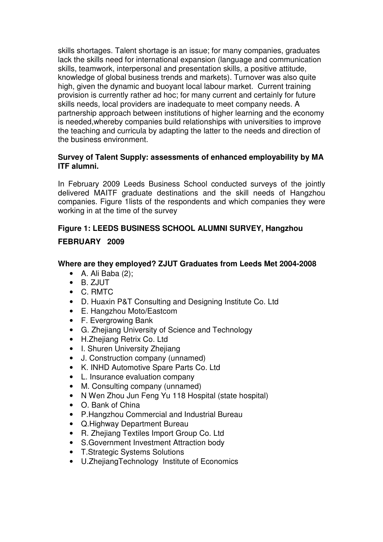skills shortages. Talent shortage is an issue; for many companies, graduates lack the skills need for international expansion (language and communication skills, teamwork, interpersonal and presentation skills, a positive attitude, knowledge of global business trends and markets). Turnover was also quite high, given the dynamic and buoyant local labour market. Current training provision is currently rather ad hoc; for many current and certainly for future skills needs, local providers are inadequate to meet company needs. A partnership approach between institutions of higher learning and the economy is needed,whereby companies build relationships with universities to improve the teaching and curricula by adapting the latter to the needs and direction of the business environment.

#### **Survey of Talent Supply: assessments of enhanced employability by MA ITF alumni.**

In February 2009 Leeds Business School conducted surveys of the jointly delivered MAITF graduate destinations and the skill needs of Hangzhou companies. Figure 1lists of the respondents and which companies they were working in at the time of the survey

# **Figure 1: LEEDS BUSINESS SCHOOL ALUMNI SURVEY, Hangzhou**

# **FEBRUARY 2009**

## **Where are they employed? ZJUT Graduates from Leeds Met 2004-2008**

- $\bullet$  A. Ali Baba (2);
- B. ZJUT
- C. RMTC
- D. Huaxin P&T Consulting and Designing Institute Co. Ltd
- E. Hangzhou Moto/Eastcom
- F. Evergrowing Bank
- G. Zhejiang University of Science and Technology
- H.Zhejiang Retrix Co. Ltd
- I. Shuren University Zheijang
- J. Construction company (unnamed)
- K. INHD Automotive Spare Parts Co. Ltd
- L. Insurance evaluation company
- M. Consulting company (unnamed)
- N Wen Zhou Jun Feng Yu 118 Hospital (state hospital)
- O. Bank of China
- P.Hangzhou Commercial and Industrial Bureau
- Q.Highway Department Bureau
- R. Zhejiang Textiles Import Group Co. Ltd
- S.Government Investment Attraction body
- T.Strategic Systems Solutions
- U.ZhejiangTechnology Institute of Economics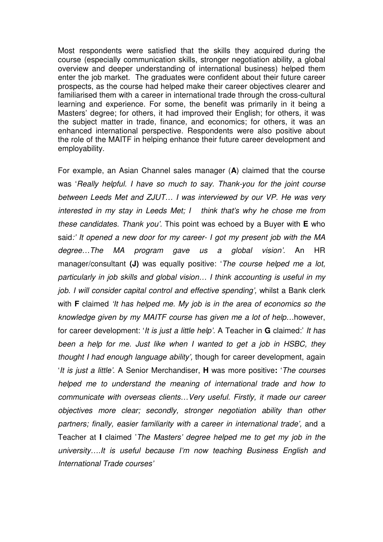Most respondents were satisfied that the skills they acquired during the course (especially communication skills, stronger negotiation ability, a global overview and deeper understanding of international business) helped them enter the job market. The graduates were confident about their future career prospects, as the course had helped make their career objectives clearer and familiarised them with a career in international trade through the cross-cultural learning and experience. For some, the benefit was primarily in it being a Masters' degree; for others, it had improved their English; for others, it was the subject matter in trade, finance, and economics; for others, it was an enhanced international perspective. Respondents were also positive about the role of the MAITF in helping enhance their future career development and employability.

For example, an Asian Channel sales manager (**A**) claimed that the course was 'Really helpful. I have so much to say. Thank-you for the joint course between Leeds Met and ZJUT… I was interviewed by our VP. He was very interested in my stay in Leeds Met; I think that's why he chose me from these candidates. Thank you'. This point was echoed by a Buyer with **E** who said:' It opened a new door for my career- I got my present job with the MA degree…The MA program gave us a global vision'. An HR manager/consultant **(J)** was equally positive: 'The course helped me a lot, particularly in job skills and global vision… I think accounting is useful in my job. I will consider capital control and effective spending', whilst a Bank clerk with **F** claimed 'It has helped me. My job is in the area of economics so the knowledge given by my MAITF course has given me a lot of help…however, for career development: 'It is just a little help'. A Teacher in **G** claimed:' It has been a help for me. Just like when I wanted to get a job in HSBC, they thought I had enough language ability', though for career development, again 'It is just a little'. A Senior Merchandiser, **H** was more positive**:** 'The courses helped me to understand the meaning of international trade and how to communicate with overseas clients…Very useful. Firstly, it made our career objectives more clear; secondly, stronger negotiation ability than other partners; finally, easier familiarity with a career in international trade', and a Teacher at **I** claimed 'The Masters' degree helped me to get my job in the university….It is useful because I'm now teaching Business English and International Trade courses'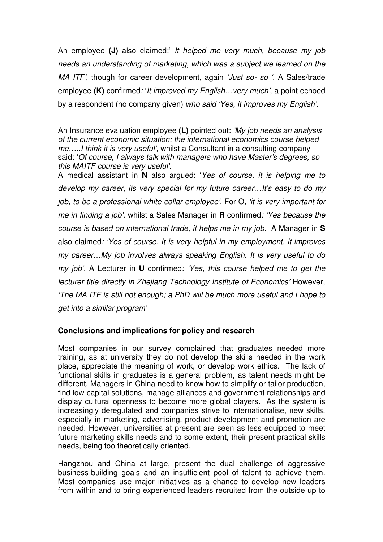An employee **(J)** also claimed:' It helped me very much, because my job needs an understanding of marketing, which was a subject we learned on the MA ITF', though for career development, again 'Just so- so '. A Sales/trade employee **(K)** confirmed: '*It improved my English... very much'*, a point echoed by a respondent (no company given) who said 'Yes, it improves my English'.

An Insurance evaluation employee **(L)** pointed out: 'My job needs an analysis of the current economic situation; the international economics course helped me.....I think it is very useful', whilst a Consultant in a consulting company said: 'Of course, I always talk with managers who have Master's degrees, so this MAITF course is very useful'.

A medical assistant in **N** also argued: 'Yes of course, it is helping me to develop my career, its very special for my future career…It's easy to do my job, to be a professional white-collar employee'. For O, 'it is very important for me in finding a job', whilst a Sales Manager in **R** confirmed: 'Yes because the course is based on international trade, it helps me in my job. A Manager in **S**  also claimed: 'Yes of course. It is very helpful in my employment, it improves my career…My job involves always speaking English. It is very useful to do my job'. A Lecturer in **U** confirmed: 'Yes, this course helped me to get the lecturer title directly in Zhejiang Technology Institute of Economics' However, 'The MA ITF is still not enough; a PhD will be much more useful and I hope to get into a similar program'

## **Conclusions and implications for policy and research**

Most companies in our survey complained that graduates needed more training, as at university they do not develop the skills needed in the work place, appreciate the meaning of work, or develop work ethics. The lack of functional skills in graduates is a general problem, as talent needs might be different. Managers in China need to know how to simplify or tailor production, find low-capital solutions, manage alliances and government relationships and display cultural openness to become more global players. As the system is increasingly deregulated and companies strive to internationalise, new skills, especially in marketing, advertising, product development and promotion are needed. However, universities at present are seen as less equipped to meet future marketing skills needs and to some extent, their present practical skills needs, being too theoretically oriented.

Hangzhou and China at large, present the dual challenge of aggressive business-building goals and an insufficient pool of talent to achieve them. Most companies use major initiatives as a chance to develop new leaders from within and to bring experienced leaders recruited from the outside up to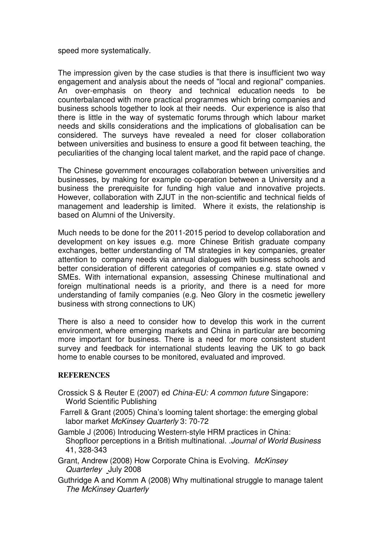speed more systematically.

The impression given by the case studies is that there is insufficient two way engagement and analysis about the needs of "local and regional" companies. An over-emphasis on theory and technical education needs to be counterbalanced with more practical programmes which bring companies and business schools together to look at their needs. Our experience is also that there is little in the way of systematic forums through which labour market needs and skills considerations and the implications of globalisation can be considered. The surveys have revealed a need for closer collaboration between universities and business to ensure a good fit between teaching, the peculiarities of the changing local talent market, and the rapid pace of change.

The Chinese government encourages collaboration between universities and businesses, by making for example co-operation between a University and a business the prerequisite for funding high value and innovative projects. However, collaboration with ZJUT in the non-scientific and technical fields of management and leadership is limited. Where it exists, the relationship is based on Alumni of the University.

Much needs to be done for the 2011-2015 period to develop collaboration and development on key issues e.g. more Chinese British graduate company exchanges, better understanding of TM strategies in key companies, greater attention to company needs via annual dialogues with business schools and better consideration of different categories of companies e.g. state owned v SMEs. With international expansion, assessing Chinese multinational and foreign multinational needs is a priority, and there is a need for more understanding of family companies (e.g. Neo Glory in the cosmetic jewellery business with strong connections to UK)

There is also a need to consider how to develop this work in the current environment, where emerging markets and China in particular are becoming more important for business. There is a need for more consistent student survey and feedback for international students leaving the UK to go back home to enable courses to be monitored, evaluated and improved.

#### **REFERENCES**

- Crossick S & Reuter E (2007) ed China-EU: A common future Singapore: World Scientific Publishing
- Farrell & Grant (2005) China's looming talent shortage: the emerging global labor market McKinsey Quarterly 3: 70-72
- Gamble J (2006) Introducing Western-style HRM practices in China: Shopfloor perceptions in a British multinational. .Journal of World Business 41, 328-343
- Grant, Andrew (2008) How Corporate China is Evolving. McKinsey Quarterley July 2008
- Guthridge A and Komm A (2008) Why multinational struggle to manage talent The McKinsey Quarterly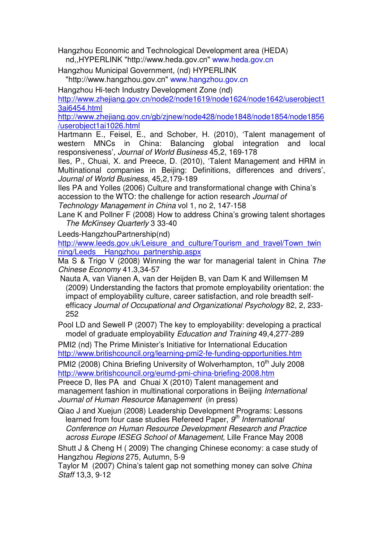Hangzhou Economic and Technological Development area (HEDA) nd,,HYPERLINK "http://www.heda.gov.cn" www.heda.gov.cn

Hangzhou Municipal Government, (nd) HYPERLINK "http://www.hangzhou.gov.cn" www.hangzhou.gov.cn

Hangzhou Hi-tech Industry Development Zone (nd)

http://www.zhejiang.gov.cn/node2/node1619/node1624/node1642/userobject1 3ai6454.html

http://www.zhejiang.gov.cn/gb/zjnew/node428/node1848/node1854/node1856 /userobject1ai1026.html

Hartmann E., Feisel, E., and Schober, H. (2010), 'Talent management of western MNCs in China: Balancing global integration and local responsiveness', Journal of World Business 45,2, 169-178

Iles, P., Chuai, X. and Preece, D. (2010), 'Talent Management and HRM in Multinational companies in Beijing: Definitions, differences and drivers', Journal of World Business, 45,2,179-189

Iles PA and Yolles (2006) Culture and transformational change with China's accession to the WTO: the challenge for action research Journal of Technology Management in China vol 1, no 2, 147-158

Lane K and Pollner F (2008) How to address China's growing talent shortages The McKinsey Quarterly 3 33-40

Leeds-HangzhouPartnership(nd)

http://www.leeds.gov.uk/Leisure\_and\_culture/Tourism\_and\_travel/Town\_twin ning/Leeds\_\_Hangzhou\_partnership.aspx

Ma S & Trigo V (2008) Winning the war for managerial talent in China The Chinese Economy 41.3,34-57

 Nauta A, van Vianen A, van der Heijden B, van Dam K and Willemsen M (2009) Understanding the factors that promote employability orientation: the impact of employability culture, career satisfaction, and role breadth selfefficacy Journal of Occupational and Organizational Psychology 82, 2, 233- 252

Pool LD and Sewell P (2007) The key to employability: developing a practical model of graduate employability Education and Training 49,4,277-289

PMI2 (nd) The Prime Minister's Initiative for International Education http://www.britishcouncil.org/learning-pmi2-fe-funding-opportunities.htm

PMI2 (2008) China Briefing University of Wolverhampton, 10<sup>th</sup> July 2008 http://www.britishcouncil.org/eumd-pmi-china-briefing-2008.htm

Preece D, Iles PA and Chuai X (2010) Talent management and management fashion in multinational corporations in Beijing International Journal of Human Resource Management (in press)

Qiao J and Xuejun (2008) Leadership Development Programs: Lessons learned from four case studies Refereed Paper, 9<sup>th</sup> International Conference on Human Resource Development Research and Practice across Europe IESEG School of Management, Lille France May 2008

Shutt J & Cheng H ( 2009) The changing Chinese economy: a case study of Hangzhou Regions 275, Autumn, 5-9

Taylor M (2007) China's talent gap not something money can solve China Staff 13,3, 9-12